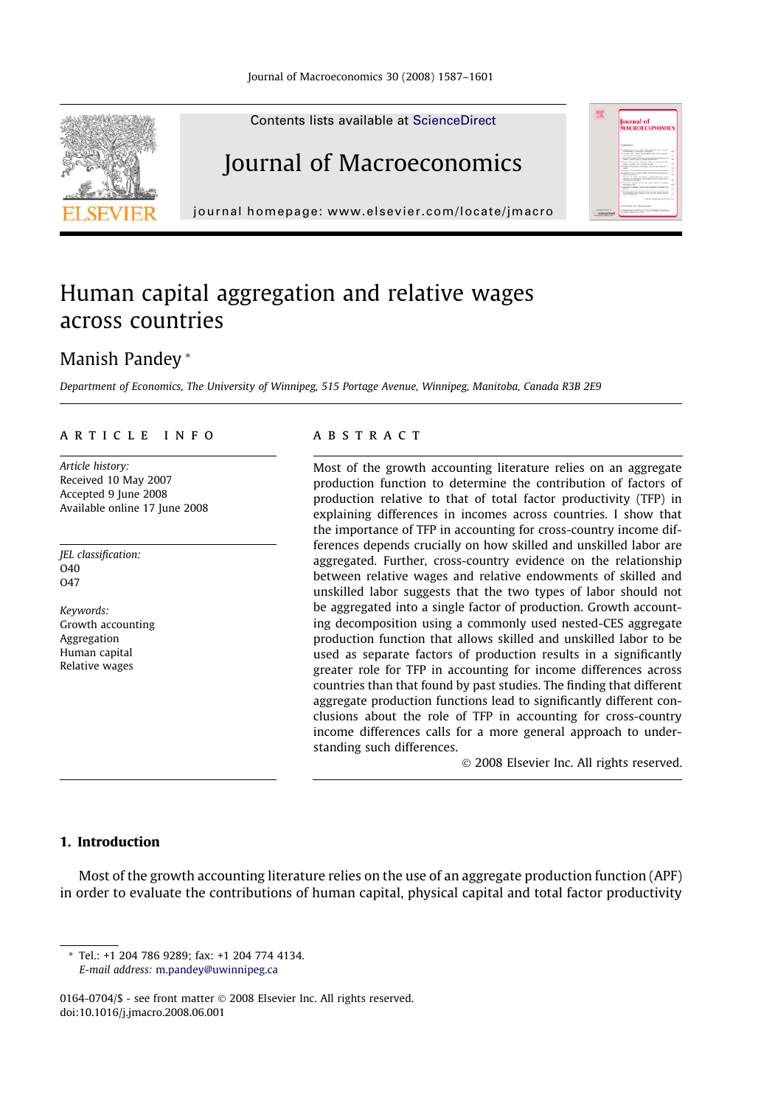

Contents lists available at [ScienceDirect](http://www.sciencedirect.com/science/journal/01640704)

# Journal of Macroeconomics

journal homepage: [www.elsevier.com/locate/jmacro](http://www.elsevier.com/locate/jmacro)

# Human capital aggregation and relative wages across countries

### Manish Pandey \*

Department of Economics, The University of Winnipeg, 515 Portage Avenue, Winnipeg, Manitoba, Canada R3B 2E9

#### article info

Article history: Received 10 May 2007 Accepted 9 June 2008 Available online 17 June 2008

JEL classification: O40 O<sub>47</sub>

Keywords: Growth accounting Aggregation Human capital Relative wages

#### **ABSTRACT**

Most of the growth accounting literature relies on an aggregate production function to determine the contribution of factors of production relative to that of total factor productivity (TFP) in explaining differences in incomes across countries. I show that the importance of TFP in accounting for cross-country income differences depends crucially on how skilled and unskilled labor are aggregated. Further, cross-country evidence on the relationship between relative wages and relative endowments of skilled and unskilled labor suggests that the two types of labor should not be aggregated into a single factor of production. Growth accounting decomposition using a commonly used nested-CES aggregate production function that allows skilled and unskilled labor to be used as separate factors of production results in a significantly greater role for TFP in accounting for income differences across countries than that found by past studies. The finding that different aggregate production functions lead to significantly different conclusions about the role of TFP in accounting for cross-country income differences calls for a more general approach to understanding such differences.

- 2008 Elsevier Inc. All rights reserved.

ournal of<br>dacrorco

#### 1. Introduction

Most of the growth accounting literature relies on the use of an aggregate production function (APF) in order to evaluate the contributions of human capital, physical capital and total factor productivity

\* Tel.: +1 204 786 9289; fax: +1 204 774 4134. E-mail address: [m.pandey@uwinnipeg.ca](mailto:m.pandey@uwinnipeg.ca)

0164-0704/\$ - see front matter © 2008 Elsevier Inc. All rights reserved. doi:10.1016/j.jmacro.2008.06.001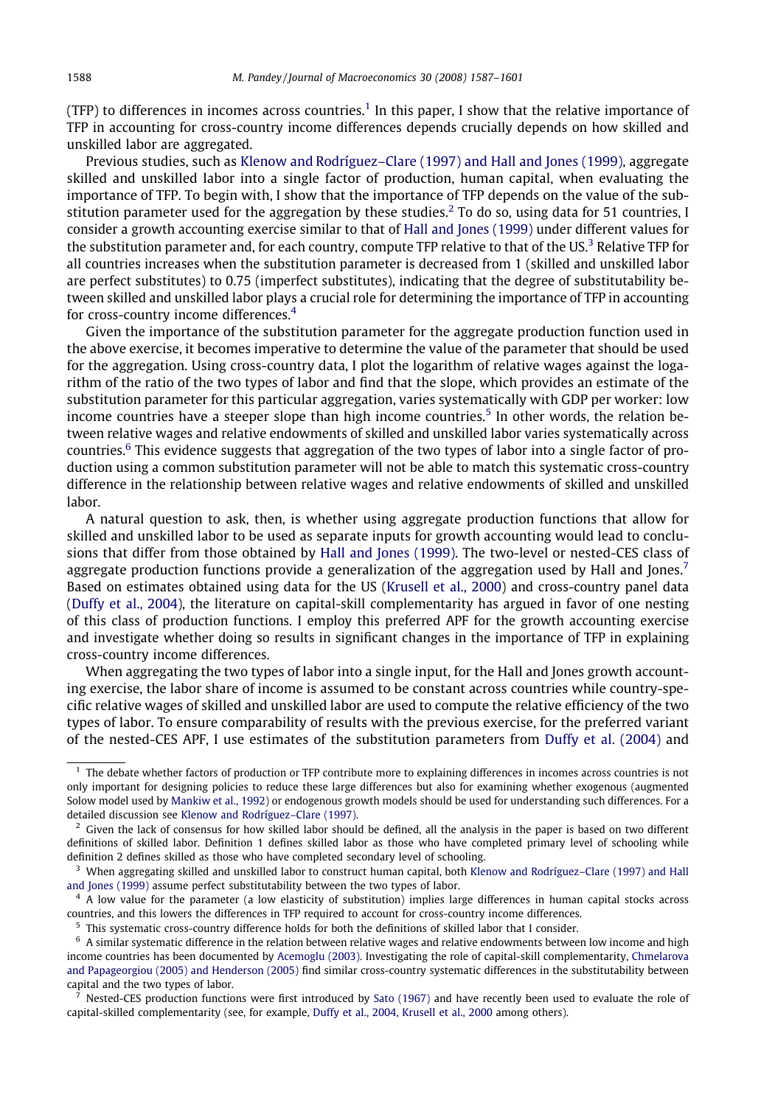(TFP) to differences in incomes across countries.<sup>1</sup> In this paper, I show that the relative importance of TFP in accounting for cross-country income differences depends crucially depends on how skilled and unskilled labor are aggregated.

Previous studies, such as [Klenow and Rodríguez–Clare \(1997\) and Hall and Jones \(1999\),](#page--1-0) aggregate skilled and unskilled labor into a single factor of production, human capital, when evaluating the importance of TFP. To begin with, I show that the importance of TFP depends on the value of the substitution parameter used for the aggregation by these studies.<sup>2</sup> To do so, using data for 51 countries, I consider a growth accounting exercise similar to that of [Hall and Jones \(1999\)](#page--1-0) under different values for the substitution parameter and, for each country, compute TFP relative to that of the US. $3$  Relative TFP for all countries increases when the substitution parameter is decreased from 1 (skilled and unskilled labor are perfect substitutes) to 0.75 (imperfect substitutes), indicating that the degree of substitutability between skilled and unskilled labor plays a crucial role for determining the importance of TFP in accounting for cross-country income differences.<sup>4</sup>

Given the importance of the substitution parameter for the aggregate production function used in the above exercise, it becomes imperative to determine the value of the parameter that should be used for the aggregation. Using cross-country data, I plot the logarithm of relative wages against the logarithm of the ratio of the two types of labor and find that the slope, which provides an estimate of the substitution parameter for this particular aggregation, varies systematically with GDP per worker: low income countries have a steeper slope than high income countries.<sup>5</sup> In other words, the relation between relative wages and relative endowments of skilled and unskilled labor varies systematically across countries.6 This evidence suggests that aggregation of the two types of labor into a single factor of production using a common substitution parameter will not be able to match this systematic cross-country difference in the relationship between relative wages and relative endowments of skilled and unskilled labor.

A natural question to ask, then, is whether using aggregate production functions that allow for skilled and unskilled labor to be used as separate inputs for growth accounting would lead to conclusions that differ from those obtained by [Hall and Jones \(1999\).](#page--1-0) The two-level or nested-CES class of aggregate production functions provide a generalization of the aggregation used by Hall and Jones.<sup>7</sup> Based on estimates obtained using data for the US ([Krusell et al., 2000](#page--1-0)) and cross-country panel data [\(Duffy et al., 2004](#page--1-0)), the literature on capital-skill complementarity has argued in favor of one nesting of this class of production functions. I employ this preferred APF for the growth accounting exercise and investigate whether doing so results in significant changes in the importance of TFP in explaining cross-country income differences.

When aggregating the two types of labor into a single input, for the Hall and Jones growth accounting exercise, the labor share of income is assumed to be constant across countries while country-specific relative wages of skilled and unskilled labor are used to compute the relative efficiency of the two types of labor. To ensure comparability of results with the previous exercise, for the preferred variant of the nested-CES APF, I use estimates of the substitution parameters from [Duffy et al. \(2004\)](#page--1-0) and

<sup>&</sup>lt;sup>1</sup> The debate whether factors of production or TFP contribute more to explaining differences in incomes across countries is not only important for designing policies to reduce these large differences but also for examining whether exogenous (augmented Solow model used by [Mankiw et al., 1992](#page--1-0)) or endogenous growth models should be used for understanding such differences. For a detailed discussion see [Klenow and Rodríguez–Clare \(1997\).](#page--1-0)

 $2$  Given the lack of consensus for how skilled labor should be defined, all the analysis in the paper is based on two different definitions of skilled labor. Definition 1 defines skilled labor as those who have completed primary level of schooling while definition 2 defines skilled as those who have completed secondary level of schooling.

<sup>&</sup>lt;sup>3</sup> When aggregating skilled and unskilled labor to construct human capital, both [Klenow and Rodríguez–Clare \(1997\) and Hall](#page--1-0) [and Jones \(1999\)](#page--1-0) assume perfect substitutability between the two types of labor.

<sup>4</sup> A low value for the parameter (a low elasticity of substitution) implies large differences in human capital stocks across countries, and this lowers the differences in TFP required to account for cross-country income differences.

<sup>5</sup> This systematic cross-country difference holds for both the definitions of skilled labor that I consider.

 $6$  A similar systematic difference in the relation between relative wages and relative endowments between low income and high income countries has been documented by [Acemoglu \(2003\)](#page--1-0). Investigating the role of capital-skill complementarity, [Chmelarova](#page--1-0) [and Papageorgiou \(2005\) and Henderson \(2005\)](#page--1-0) find similar cross-country systematic differences in the substitutability between capital and the two types of labor.

<sup>7</sup> Nested-CES production functions were first introduced by [Sato \(1967\)](#page--1-0) and have recently been used to evaluate the role of capital-skilled complementarity (see, for example, [Duffy et al., 2004, Krusell et al., 2000](#page--1-0) among others).